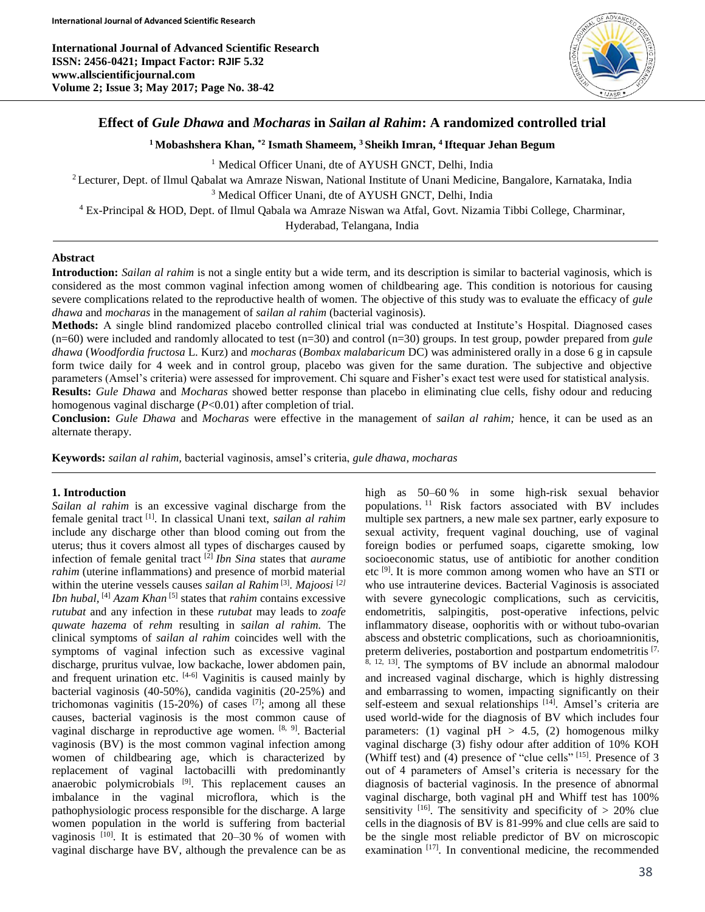**International Journal of Advanced Scientific Research ISSN: 2456-0421; Impact Factor: RJIF 5.32 www.allscientificjournal.com Volume 2; Issue 3; May 2017; Page No. 38-42**



# **Effect of** *Gule Dhawa* **and** *Mocharas* **in** *Sailan al Rahim***: A randomized controlled trial**

**<sup>1</sup>Mobashshera Khan, \*2 Ismath Shameem, <sup>3</sup>Sheikh Imran, <sup>4</sup>Iftequar Jehan Begum**

<sup>1</sup> Medical Officer Unani, dte of AYUSH GNCT, Delhi, India

<sup>2</sup> Lecturer, Dept. of Ilmul Qabalat wa Amraze Niswan, National Institute of Unani Medicine, Bangalore, Karnataka, India <sup>3</sup> Medical Officer Unani, dte of AYUSH GNCT, Delhi, India

<sup>4</sup> Ex-Principal & HOD, Dept. of Ilmul Qabala wa Amraze Niswan wa Atfal, Govt. Nizamia Tibbi College, Charminar,

Hyderabad, Telangana, India

# **Abstract**

**Introduction:** *Sailan al rahim* is not a single entity but a wide term, and its description is similar to bacterial vaginosis, which is considered as the most common vaginal infection among women of childbearing age. This condition is notorious for causing severe complications related to the reproductive health of women. The objective of this study was to evaluate the efficacy of *gule dhawa* and *mocharas* in the management of *sailan al rahim* (bacterial vaginosis).

**Methods:** A single blind randomized placebo controlled clinical trial was conducted at Institute's Hospital. Diagnosed cases (n=60) were included and randomly allocated to test (n=30) and control (n=30) groups. In test group, powder prepared from *gule dhawa* (*Woodfordia fructosa* L. Kurz) and *mocharas* (*Bombax malabaricum* DC) was administered orally in a dose 6 g in capsule form twice daily for 4 week and in control group, placebo was given for the same duration. The subjective and objective parameters (Amsel's criteria) were assessed for improvement. Chi square and Fisher's exact test were used for statistical analysis. **Results:** *Gule Dhawa* and *Mocharas* showed better response than placebo in eliminating clue cells, fishy odour and reducing homogenous vaginal discharge (*P*<0.01) after completion of trial.

**Conclusion:** *Gule Dhawa* and *Mocharas* were effective in the management of *sailan al rahim;* hence, it can be used as an alternate therapy.

**Keywords:** *sailan al rahim,* bacterial vaginosis, amsel's criteria, *gule dhawa*, *mocharas*

# **1. Introduction**

*Sailan al rahim* is an excessive vaginal discharge from the female genital tract [1] . In classical Unani text, *sailan al rahim* include any discharge other than blood coming out from the uterus; thus it covers almost all types of discharges caused by infection of female genital tract <sup>[2]</sup> *Ibn Sina* states that *aurame rahim* (uterine inflammations) and presence of morbid material within the uterine vessels causes *sailan al Rahim* [3] . *Majoosi* [*2]* Ibn hubal, <sup>[4]</sup> Azam Khan<sup>[5]</sup> states that *rahim* contains excessive *rutubat* and any infection in these *rutubat* may leads to *zoafe quwate hazema* of *rehm* resulting in *sailan al rahim.* The clinical symptoms of *sailan al rahim* coincides well with the symptoms of vaginal infection such as excessive vaginal discharge, pruritus vulvae, low backache, lower abdomen pain, and frequent urination etc.  $[4-6]$  Vaginitis is caused mainly by bacterial vaginosis (40-50%), candida vaginitis (20-25%) and trichomonas vaginitis  $(15{\text -}20\%)$  of cases  $[7]$ ; among all these causes, bacterial vaginosis is the most common cause of vaginal discharge in reproductive age women. <sup>[8, 9]</sup>. Bacterial vaginosis (BV) is the most common vaginal infection among women of childbearing age, which is characterized by replacement of vaginal lactobacilli with predominantly anaerobic polymicrobials <sup>[9]</sup>. This replacement causes an imbalance in the vaginal microflora, which is the pathophysiologic process responsible for the discharge. A large women population in the world is suffering from bacterial vaginosis  $[10]$ . It is estimated that 20-30 % of women with vaginal discharge have BV, although the prevalence can be as

high as 50–60 % in some high-risk sexual behavior populations. <sup>11</sup> Risk factors associated with BV includes multiple sex partners, a new male sex partner, early exposure to sexual activity, frequent vaginal douching, use of vaginal foreign bodies or perfumed soaps, cigarette smoking, low socioeconomic status, use of antibiotic for another condition etc<sup>[9]</sup>. It is more common among women who have an STI or who use intrauterine devices. Bacterial Vaginosis is associated with severe gynecologic complications, such as cervicitis, endometritis, salpingitis, post-operative infections, pelvic inflammatory disease, oophoritis with or without tubo-ovarian abscess and obstetric complications, such as chorioamnionitis, preterm deliveries, postabortion and postpartum endometritis [7, <sup>8, 12, 13]</sup>. The symptoms of BV include an abnormal malodour and increased vaginal discharge, which is highly distressing and embarrassing to women, impacting significantly on their self-esteem and sexual relationships [14]. Amsel's criteria are used world-wide for the diagnosis of BV which includes four parameters: (1) vaginal  $pH > 4.5$ , (2) homogenous milky vaginal discharge (3) fishy odour after addition of 10% KOH (Whiff test) and (4) presence of "clue cells" [15]. Presence of 3 out of 4 parameters of Amsel's criteria is necessary for the diagnosis of bacterial vaginosis. In the presence of abnormal vaginal discharge, both vaginal pH and Whiff test has 100% sensitivity  $[16]$ . The sensitivity and specificity of  $> 20\%$  clue cells in the diagnosis of BV is 81-99% and clue cells are said to be the single most reliable predictor of BV on microscopic examination<sup>[17]</sup>. In conventional medicine, the recommended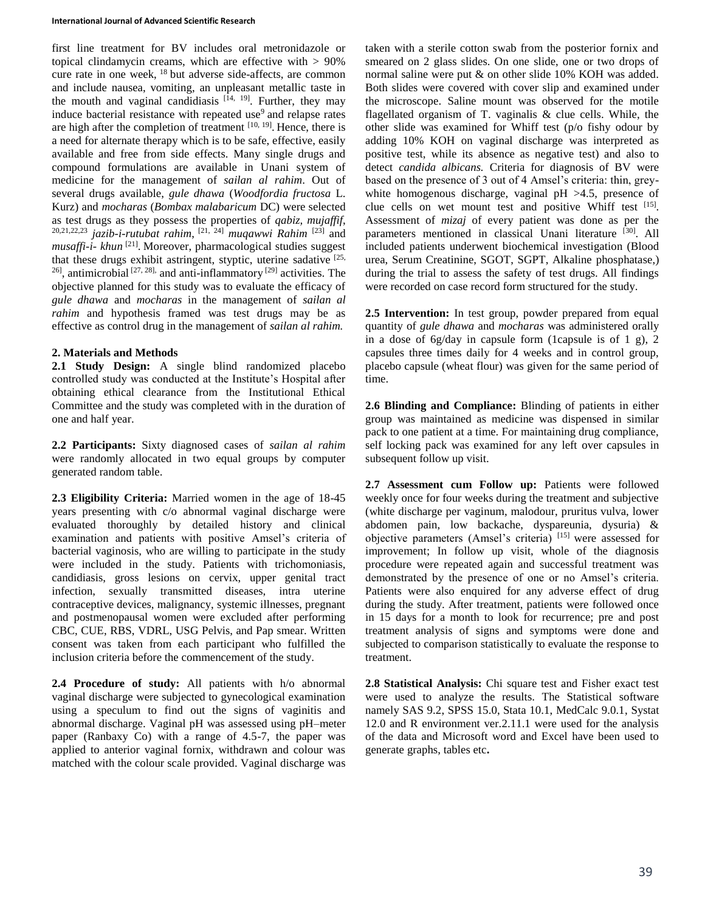first line treatment for BV includes oral metronidazole or topical clindamycin creams, which are effective with  $> 90\%$ cure rate in one week, <sup>18</sup> but adverse side-affects, are common and include nausea, vomiting, an unpleasant metallic taste in the mouth and vaginal candidiasis  $[14, 19]$ . Further, they may induce bacterial resistance with repeated use<sup>9</sup> and relapse rates are high after the completion of treatment  $[10, 19]$ . Hence, there is a need for alternate therapy which is to be safe, effective, easily available and free from side effects. Many single drugs and compound formulations are available in Unani system of medicine for the management of *sailan al rahim*. Out of several drugs available, *gule dhawa* (*Woodfordia fructosa* L. Kurz) and *mocharas* (*Bombax malabaricum* DC) were selected as test drugs as they possess the properties of *qabiz, mujaffif*, 20,21,22,23 *jazib-i-rutubat rahim*, [21, 24] *muqawwi Rahim* [23] and *musaffi-i- khun* [21] . Moreover, pharmacological studies suggest that these drugs exhibit astringent, styptic, uterine sadative [25,  $^{26}$ , antimicrobial  $^{[27, 28]}$  and anti-inflammatory  $^{[29]}$  activities. The objective planned for this study was to evaluate the efficacy of *gule dhawa* and *mocharas* in the management of *sailan al rahim* and hypothesis framed was test drugs may be as effective as control drug in the management of *sailan al rahim.*

# **2. Materials and Methods**

**2.1 Study Design:** A single blind randomized placebo controlled study was conducted at the Institute's Hospital after obtaining ethical clearance from the Institutional Ethical Committee and the study was completed with in the duration of one and half year.

**2.2 Participants:** Sixty diagnosed cases of *sailan al rahim*  were randomly allocated in two equal groups by computer generated random table.

**2.3 Eligibility Criteria:** Married women in the age of 18-45 years presenting with c/o abnormal vaginal discharge were evaluated thoroughly by detailed history and clinical examination and patients with positive Amsel's criteria of bacterial vaginosis, who are willing to participate in the study were included in the study. Patients with trichomoniasis, candidiasis, gross lesions on cervix, upper genital tract infection, sexually transmitted diseases, intra uterine contraceptive devices, malignancy, systemic illnesses, pregnant and postmenopausal women were excluded after performing CBC, CUE, RBS, VDRL, USG Pelvis, and Pap smear. Written consent was taken from each participant who fulfilled the inclusion criteria before the commencement of the study.

**2.4 Procedure of study:** All patients with h/o abnormal vaginal discharge were subjected to gynecological examination using a speculum to find out the signs of vaginitis and abnormal discharge. Vaginal pH was assessed using pH–meter paper (Ranbaxy Co) with a range of 4.5-7, the paper was applied to anterior vaginal fornix, withdrawn and colour was matched with the colour scale provided. Vaginal discharge was

taken with a sterile cotton swab from the posterior fornix and smeared on 2 glass slides. On one slide, one or two drops of normal saline were put & on other slide 10% KOH was added. Both slides were covered with cover slip and examined under the microscope. Saline mount was observed for the motile flagellated organism of T. vaginalis & clue cells. While, the other slide was examined for Whiff test (p/o fishy odour by adding 10% KOH on vaginal discharge was interpreted as positive test, while its absence as negative test) and also to detect *candida albicans.* Criteria for diagnosis of BV were based on the presence of 3 out of 4 Amsel's criteria: thin, greywhite homogenous discharge, vaginal pH  $>4.5$ , presence of clue cells on wet mount test and positive Whiff test [15]. Assessment of *mizaj* of every patient was done as per the parameters mentioned in classical Unani literature [30]. All included patients underwent biochemical investigation (Blood urea, Serum Creatinine, SGOT, SGPT, Alkaline phosphatase,) during the trial to assess the safety of test drugs. All findings were recorded on case record form structured for the study.

**2.5 Intervention:** In test group, powder prepared from equal quantity of *gule dhawa* and *mocharas* was administered orally in a dose of 6g/day in capsule form (1capsule is of 1 g), 2 capsules three times daily for 4 weeks and in control group, placebo capsule (wheat flour) was given for the same period of time.

**2.6 Blinding and Compliance:** Blinding of patients in either group was maintained as medicine was dispensed in similar pack to one patient at a time. For maintaining drug compliance, self locking pack was examined for any left over capsules in subsequent follow up visit.

**2.7 Assessment cum Follow up:** Patients were followed weekly once for four weeks during the treatment and subjective (white discharge per vaginum, malodour, pruritus vulva, lower abdomen pain, low backache, dyspareunia, dysuria) & objective parameters (Amsel's criteria) [15] were assessed for improvement; In follow up visit, whole of the diagnosis procedure were repeated again and successful treatment was demonstrated by the presence of one or no Amsel's criteria. Patients were also enquired for any adverse effect of drug during the study. After treatment, patients were followed once in 15 days for a month to look for recurrence; pre and post treatment analysis of signs and symptoms were done and subjected to comparison statistically to evaluate the response to treatment.

**2.8 Statistical Analysis:** Chi square test and Fisher exact test were used to analyze the results. The Statistical software namely SAS 9.2, SPSS 15.0, Stata 10.1, MedCalc 9.0.1, Systat 12.0 and R environment ver.2.11.1 were used for the analysis of the data and Microsoft word and Excel have been used to generate graphs, tables etc**.**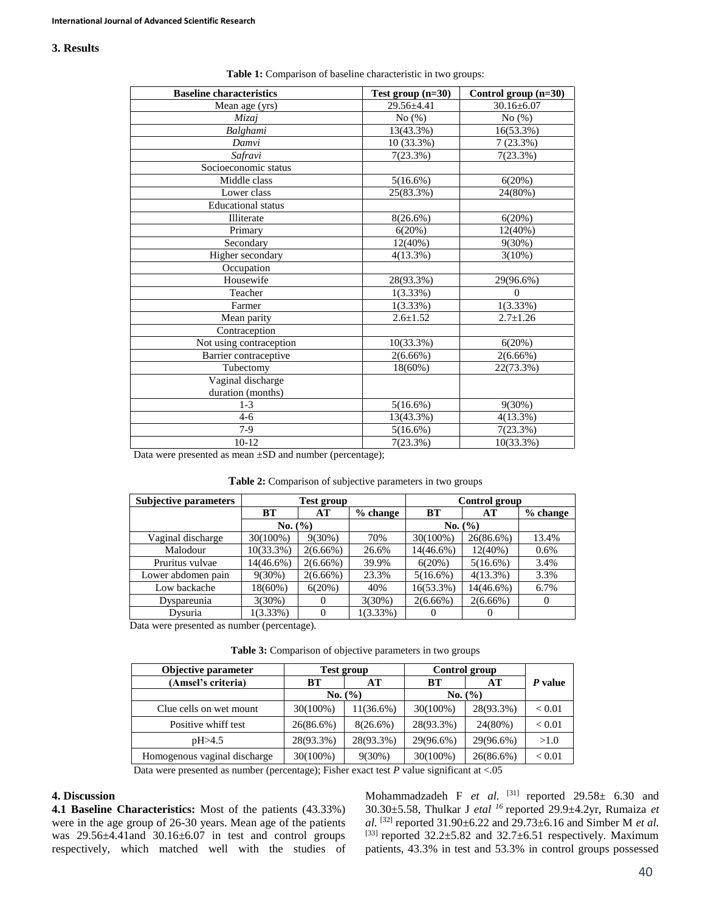### **3. Results**

| <b>Baseline characteristics</b> | Test group $(n=30)$ | Control group (n=30) |
|---------------------------------|---------------------|----------------------|
| Mean age (yrs)                  | $29.56 \pm 4.41$    | $30.16 \pm 6.07$     |
| Mizaj                           | No(%)               | No(%)                |
| Balghami                        | 13(43.3%)           | 16(53.3%)            |
| Damvi                           | 10 (33.3%)          | 7(23.3%)             |
| Safravi                         | 7(23.3%)            | 7(23.3%)             |
| Socioeconomic status            |                     |                      |
| Middle class                    | $5(16.6\%)$         | 6(20%)               |
| Lower class                     | 25(83.3%)           | 24(80%)              |
| <b>Educational</b> status       |                     |                      |
| Illiterate                      | $8(26.6\%)$         | 6(20%)               |
| Primary                         | 6(20%)              | $12(40\%)$           |
| Secondary                       | $12(40\%)$          | $9(30\%)$            |
| Higher secondary                | $4(13.3\%)$         | 3(10%)               |
| Occupation                      |                     |                      |
| Housewife                       | 28(93.3%)           | 29(96.6%)            |
| Teacher                         | 1(3.33%)            | $\Omega$             |
| Farmer                          | $1(3.33\%)$         | $1(3.33\%)$          |
| Mean parity                     | $2.6 \pm 1.52$      | $2.7 \pm 1.26$       |
| Contraception                   |                     |                      |
| Not using contraception         | 10(33.3%)           | 6(20%)               |
| Barrier contraceptive           | $2(6.66\%)$         | $2(6.66\%)$          |
| Tubectomy                       | $18(60\%)$          | 22(73.3%)            |
| Vaginal discharge               |                     |                      |
| duration (months)               |                     |                      |
| $1-3$                           | $5(16.6\%)$         | 9(30%)               |
| $4 - 6$                         | 13(43.3%)           | 4(13.3%)             |
| $7-9$                           | $5(16.6\%)$         | 7(23.3%)             |
| $10 - 12$                       | 7(23.3%)            | 10(33.3%)            |

| Table 1: Comparison of baseline characteristic in two groups: |  |
|---------------------------------------------------------------|--|
|---------------------------------------------------------------|--|

Data were presented as mean ±SD and number (percentage);

|  | <b>Table 2:</b> Comparison of subjective parameters in two groups |  |
|--|-------------------------------------------------------------------|--|
|  |                                                                   |  |

| <b>Subjective parameters</b> | Test group   |             | Control group |              |             |            |
|------------------------------|--------------|-------------|---------------|--------------|-------------|------------|
|                              | <b>BT</b>    | AT          | $%$ change    | <b>BT</b>    | AT          | $%$ change |
|                              | No. (%)      |             |               | No. (%)      |             |            |
| Vaginal discharge            | 30(100%)     | $9(30\%)$   | 70%           | 30(100%)     | 26(86.6%)   | 13.4%      |
| Malodour                     | $10(33.3\%)$ | $2(6.66\%)$ | 26.6%         | $14(46.6\%)$ | $12(40\%)$  | 0.6%       |
| Pruritus vulvae              | 14(46.6%)    | $2(6.66\%)$ | 39.9%         | 6(20%)       | $5(16.6\%)$ | 3.4%       |
| Lower abdomen pain           | $9(30\%)$    | $2(6.66\%)$ | 23.3%         | $5(16.6\%)$  | $4(13.3\%)$ | 3.3%       |
| Low backache                 | $18(60\%)$   | 6(20%)      | 40%           | 16(53.3%)    | 14(46.6%)   | 6.7%       |
| Dyspareunia                  | $3(30\%)$    | $\Omega$    | $3(30\%)$     | $2(6.66\%)$  | $2(6.66\%)$ | $\Omega$   |
| Dysuria                      | $1(3.33\%)$  | $\theta$    | $1(3.33\%)$   | $\theta$     | $\theta$    |            |

Data were presented as number (percentage).

**Table 3:** Comparison of objective parameters in two groups

| Objective parameter          | <b>Test group</b> |              | Control group |           |               |
|------------------------------|-------------------|--------------|---------------|-----------|---------------|
| (Amsel's criteria)           | BТ                | AТ           | <b>BT</b>     | AT        | P value       |
|                              | No. (%)           |              | No. (%)       |           |               |
| Clue cells on wet mount      | 30(100%)          | $11(36.6\%)$ | 30(100%)      | 28(93.3%) | ${}_{< 0.01}$ |
| Positive whiff test          | $26(86.6\%)$      | $8(26.6\%)$  | 28(93.3%)     | 24(80%)   | ${}_{< 0.01}$ |
| pH > 4.5                     | 28(93.3%)         | 28(93.3%)    | 29(96.6%)     | 29(96.6%) | >1.0          |
| Homogenous vaginal discharge | 30(100%)          | $9(30\%)$    | 30(100%)      | 26(86.6%) | < 0.01        |

Data were presented as number (percentage); Fisher exact test  $P$  value significant at <.05

### **4. Discussion**

**4.1 Baseline Characteristics:** Most of the patients (43.33%) were in the age group of 26-30 years. Mean age of the patients was 29.56±4.41and 30.16±6.07 in test and control groups respectively, which matched well with the studies of

Mohammadzadeh F *et al.* [31] reported 29.58± 6.30 and 30.30±5.58, Thulkar J *etal <sup>16</sup>* reported 29.9±4.2yr, Rumaiza *et al.* <sup>[32]</sup> reported 31.90±6.22 and 29.73±6.16 and Simber M *et al.* <sup>[33]</sup> reported 32.2±5.82 and 32.7±6.51 respectively. Maximum patients, 43.3% in test and 53.3% in control groups possessed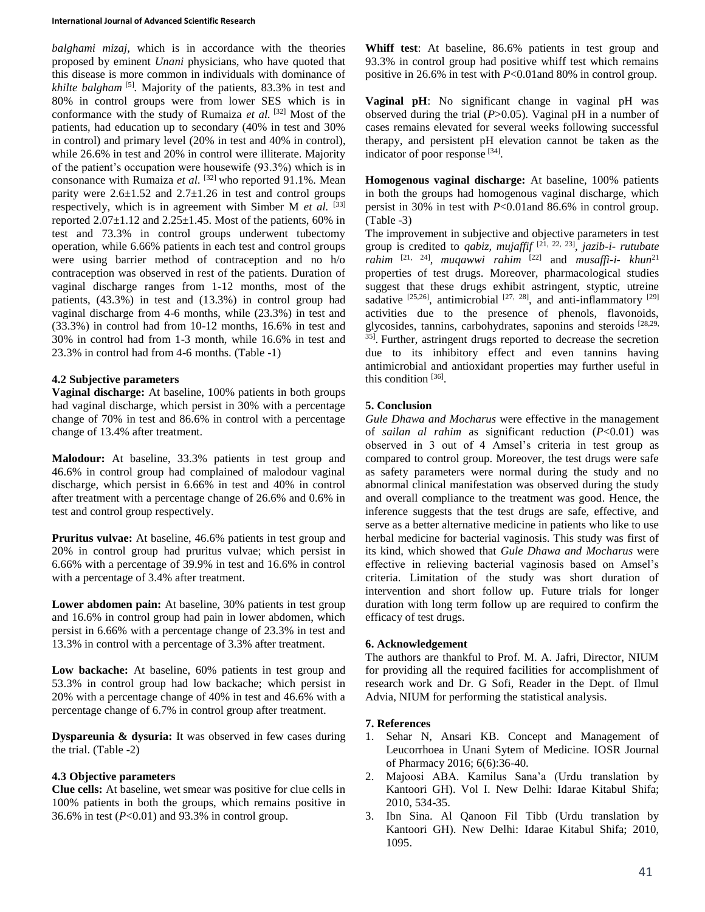#### **International Journal of Advanced Scientific Research**

*balghami mizaj,* which is in accordance with the theories proposed by eminent *Unani* physicians, who have quoted that this disease is more common in individuals with dominance of *khilte balgham* <sup>[5]</sup>. Majority of the patients, 83.3% in test and 80% in control groups were from lower SES which is in conformance with the study of Rumaiza *et al.* [32] Most of the patients, had education up to secondary (40% in test and 30% in control) and primary level (20% in test and 40% in control), while 26.6% in test and 20% in control were illiterate. Majority of the patient's occupation were housewife (93.3%) which is in consonance with Rumaiza *et al.* [32] who reported 91.1%*.* Mean parity were  $2.6 \pm 1.52$  and  $2.7 \pm 1.26$  in test and control groups respectively, which is in agreement with Simber M *et al.* [33] reported  $2.07\pm1.12$  and  $2.25\pm1.45$ . Most of the patients, 60% in test and 73.3% in control groups underwent tubectomy operation, while 6.66% patients in each test and control groups were using barrier method of contraception and no h/o contraception was observed in rest of the patients. Duration of vaginal discharge ranges from 1-12 months, most of the patients, (43.3%) in test and (13.3%) in control group had vaginal discharge from 4-6 months, while (23.3%) in test and (33.3%) in control had from 10-12 months, 16.6% in test and 30% in control had from 1-3 month, while 16.6% in test and 23.3% in control had from 4-6 months. (Table -1)

### **4.2 Subjective parameters**

**Vaginal discharge:** At baseline, 100% patients in both groups had vaginal discharge, which persist in 30% with a percentage change of 70% in test and 86.6% in control with a percentage change of 13.4% after treatment.

**Malodour:** At baseline, 33.3% patients in test group and 46.6% in control group had complained of malodour vaginal discharge, which persist in 6.66% in test and 40% in control after treatment with a percentage change of 26.6% and 0.6% in test and control group respectively.

**Pruritus vulvae:** At baseline, 46.6% patients in test group and 20% in control group had pruritus vulvae; which persist in 6.66% with a percentage of 39.9% in test and 16.6% in control with a percentage of 3.4% after treatment.

**Lower abdomen pain:** At baseline, 30% patients in test group and 16.6% in control group had pain in lower abdomen, which persist in 6.66% with a percentage change of 23.3% in test and 13.3% in control with a percentage of 3.3% after treatment.

**Low backache:** At baseline, 60% patients in test group and 53.3% in control group had low backache; which persist in 20% with a percentage change of 40% in test and 46.6% with a percentage change of 6.7% in control group after treatment.

**Dyspareunia & dysuria:** It was observed in few cases during the trial. (Table -2)

# **4.3 Objective parameters**

**Clue cells:** At baseline, wet smear was positive for clue cells in 100% patients in both the groups, which remains positive in 36.6% in test (*P*<0.01) and 93.3% in control group.

**Whiff test**: At baseline, 86.6% patients in test group and 93.3% in control group had positive whiff test which remains positive in 26.6% in test with *P*<0.01and 80% in control group.

**Vaginal pH**: No significant change in vaginal pH was observed during the trial (*P*>0.05). Vaginal pH in a number of cases remains elevated for several weeks following successful therapy, and persistent pH elevation cannot be taken as the indicator of poor response [34].

**Homogenous vaginal discharge:** At baseline, 100% patients in both the groups had homogenous vaginal discharge, which persist in 30% in test with *P*<0.01and 86.6% in control group. (Table -3)

The improvement in subjective and objective parameters in test group is credited to *qabiz, mujaffif* [21, 22, 23] , *jazib-i- rutubate rahim* [21, 24] , *muqawwi rahim* [22] and *musaffi-i- khun*<sup>21</sup> properties of test drugs*.* Moreover, pharmacological studies suggest that these drugs exhibit astringent, styptic, utreine sadative  $[25,26]$ , antimicrobial  $[27, 28]$ , and anti-inflammatory  $[29]$ activities due to the presence of phenols, flavonoids, glycosides, tannins, carbohydrates, saponins and steroids [28,29, <sup>35]</sup>. Further, astringent drugs reported to decrease the secretion due to its inhibitory effect and even tannins having antimicrobial and antioxidant properties may further useful in this condition [36].

# **5. Conclusion**

*Gule Dhawa and Mocharus* were effective in the management of *sailan al rahim* as significant reduction (*P*<0.01) was observed in 3 out of 4 Amsel's criteria in test group as compared to control group. Moreover, the test drugs were safe as safety parameters were normal during the study and no abnormal clinical manifestation was observed during the study and overall compliance to the treatment was good. Hence, the inference suggests that the test drugs are safe, effective, and serve as a better alternative medicine in patients who like to use herbal medicine for bacterial vaginosis. This study was first of its kind, which showed that *Gule Dhawa and Mocharus* were effective in relieving bacterial vaginosis based on Amsel's criteria. Limitation of the study was short duration of intervention and short follow up. Future trials for longer duration with long term follow up are required to confirm the efficacy of test drugs.

# **6. Acknowledgement**

The authors are thankful to Prof. M. A. Jafri, Director, NIUM for providing all the required facilities for accomplishment of research work and Dr. G Sofi, Reader in the Dept. of Ilmul Advia, NIUM for performing the statistical analysis.

# **7. References**

- 1. Sehar N, Ansari KB. Concept and Management of Leucorrhoea in Unani Sytem of Medicine. IOSR Journal of Pharmacy 2016; 6(6):36-40.
- 2. Majoosi ABA. Kamilus Sana'a (Urdu translation by Kantoori GH). Vol I. New Delhi: Idarae Kitabul Shifa; 2010, 534-35.
- 3. Ibn Sina. Al Qanoon Fil Tibb (Urdu translation by Kantoori GH). New Delhi: Idarae Kitabul Shifa; 2010, 1095.